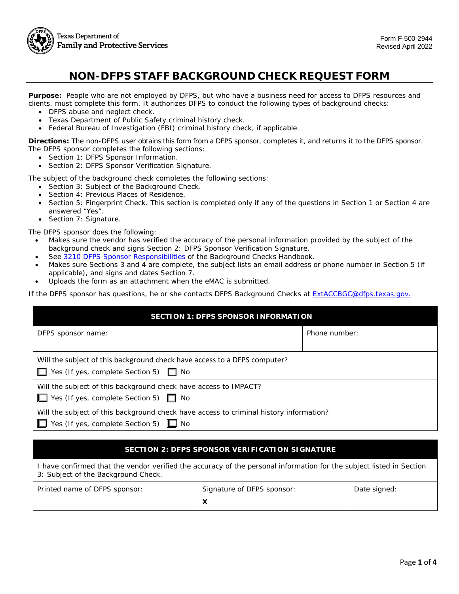

# **NON-DFPS STAFF BACKGROUND CHECK REQUEST FORM**

 **Purpose:** People who are not employed by DFPS, but who have a business need for access to DFPS resources and clients, must complete this form. It authorizes DFPS to conduct the following types of background checks:

- DFPS abuse and neglect check.
- Texas Department of Public Safety criminal history check.
- Federal Bureau of Investigation (FBI) criminal history check, if applicable.

 **Directions:** The non-DFPS user obtains this form from a DFPS sponsor, completes it, and returns it to the DFPS sponsor. The DFPS sponsor completes the following sections:

- Section 1: DFPS Sponsor Information.
- Section 2: DFPS Sponsor Verification Signature.

The subject of the background check completes the following sections:

- Section 3: Subject of the Background Check.
- Section 4: Previous Places of Residence.
- • Section 5: Fingerprint Check. This section is completed only if any of the questions in Section 1 or Section 4 are answered "Yes".
- Section 7: Signature.

The DFPS sponsor does the following:

- • Makes sure the vendor has verified the accuracy of the personal information provided by the subject of the background check and signs Section 2: DFPS Sponsor Verification Signature.
- See [3210 DFPS Sponsor Responsibilities](http://www.dfps.state.tx.us/handbooks/Background_Checks/Files/BC_pg_3000.asp#BC_3210) of the Background Checks Handbook.
- • Makes sure Sections 3 and 4 are complete, the subject lists an email address or phone number in Section 5 (if applicable), and signs and dates Section 7.
- Uploads the form as an attachment when the eMAC is submitted.

If the DFPS sponsor has questions, he or she contacts DFPS Background Checks at **ExtACCBGC@dfps.texas.gov.** 

| <b>SECTION 1: DFPS SPONSOR INFORMATION</b>                                                                                           |               |  |
|--------------------------------------------------------------------------------------------------------------------------------------|---------------|--|
| DFPS sponsor name:                                                                                                                   | Phone number: |  |
| Will the subject of this background check have access to a DFPS computer?<br>$\Box$ Yes (If yes, complete Section 5) $\Box$ No       |               |  |
| Will the subject of this background check have access to IMPACT?<br>■ Yes (If yes, complete Section 5) ■ No                          |               |  |
| Will the subject of this background check have access to criminal history information?<br>Yes (If yes, complete Section 5) $\Box$ No |               |  |

#### **SECTION 2: DFPS SPONSOR VERIFICATION SIGNATURE**

| I have confirmed that the vendor verified the accuracy of the personal information for the subject listed in Section<br>3: Subject of the Background Check. |                            |              |  |
|-------------------------------------------------------------------------------------------------------------------------------------------------------------|----------------------------|--------------|--|
| Printed name of DFPS sponsor:                                                                                                                               | Signature of DFPS sponsor: | Date signed: |  |
|                                                                                                                                                             |                            |              |  |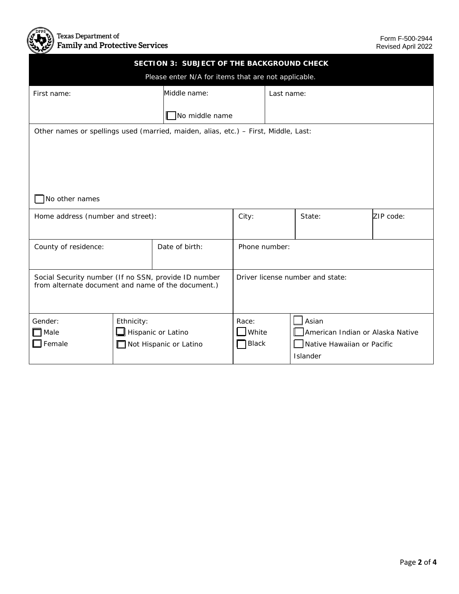

| SECTION 3: SUBJECT OF THE BACKGROUND CHECK                                          |                                                     |                        |                 |            |                                           |           |
|-------------------------------------------------------------------------------------|-----------------------------------------------------|------------------------|-----------------|------------|-------------------------------------------|-----------|
|                                                                                     | Please enter N/A for items that are not applicable. |                        |                 |            |                                           |           |
| First name:                                                                         |                                                     | Middle name:           |                 | Last name: |                                           |           |
|                                                                                     |                                                     |                        |                 |            |                                           |           |
|                                                                                     |                                                     | No middle name         |                 |            |                                           |           |
| Other names or spellings used (married, maiden, alias, etc.) - First, Middle, Last: |                                                     |                        |                 |            |                                           |           |
|                                                                                     |                                                     |                        |                 |            |                                           |           |
|                                                                                     |                                                     |                        |                 |            |                                           |           |
|                                                                                     |                                                     |                        |                 |            |                                           |           |
|                                                                                     |                                                     |                        |                 |            |                                           |           |
| No other names                                                                      |                                                     |                        |                 |            |                                           |           |
| Home address (number and street):                                                   |                                                     |                        | City:           |            | State:                                    | ZIP code: |
|                                                                                     |                                                     |                        |                 |            |                                           |           |
| County of residence:                                                                |                                                     | Date of birth:         | Phone number:   |            |                                           |           |
|                                                                                     |                                                     |                        |                 |            |                                           |           |
| Social Security number (If no SSN, provide ID number                                |                                                     |                        |                 |            | Driver license number and state:          |           |
| from alternate document and name of the document.)                                  |                                                     |                        |                 |            |                                           |           |
|                                                                                     |                                                     |                        |                 |            |                                           |           |
|                                                                                     |                                                     |                        |                 |            |                                           |           |
| Gender:<br>$\exists$ Male                                                           | Ethnicity:                                          | Hispanic or Latino     | Race:<br>White  |            | Asian<br>American Indian or Alaska Native |           |
| $\mathsf{\mathbb{I}}$ Female                                                        |                                                     | Not Hispanic or Latino | $\exists$ Black |            | Native Hawaiian or Pacific                |           |
|                                                                                     |                                                     |                        |                 |            | Islander                                  |           |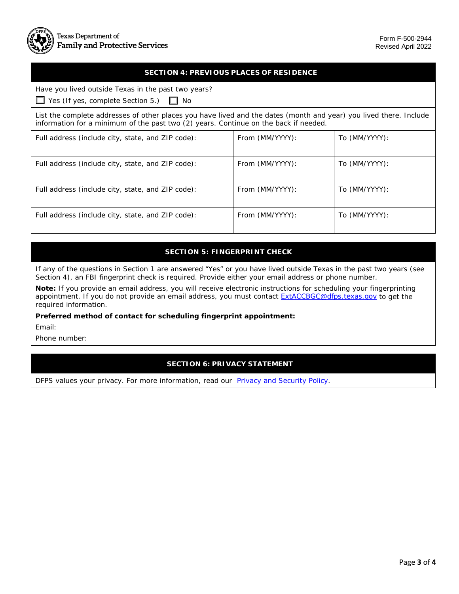### **SECTION 4: PREVIOUS PLACES OF RESIDENCE**

| Have you lived outside Texas in the past two years?<br>$\Box$ Yes (If yes, complete Section 5.) $\Box$ No                                                                                                  |                 |               |  |
|------------------------------------------------------------------------------------------------------------------------------------------------------------------------------------------------------------|-----------------|---------------|--|
| List the complete addresses of other places you have lived and the dates (month and year) you lived there. Include<br>information for a minimum of the past two (2) years. Continue on the back if needed. |                 |               |  |
| Full address (include city, state, and ZIP code):                                                                                                                                                          | From (MM/YYYY): | To (MM/YYYY): |  |
| Full address (include city, state, and ZIP code):                                                                                                                                                          | From (MM/YYYY): | To (MM/YYYY): |  |
| Full address (include city, state, and ZIP code):                                                                                                                                                          | From (MM/YYYY): | To (MM/YYYY): |  |
| Full address (include city, state, and ZIP code):                                                                                                                                                          | From (MM/YYYY): | To (MM/YYYY): |  |

#### **SECTION 5: FINGERPRINT CHECK**

 If any of the questions in Section 1 are answered "Yes" or you have lived outside Texas in the past two years (see Section 4), an FBI fingerprint check is required. Provide either your email address or phone number.

 **Note:** If you provide an email address, you will receive electronic instructions for scheduling your fingerprinting appointment. If you do not provide an email address, you must contact <u>ExtACCBGC@dfps.texas.gov</u> to get the required information.

**Preferred method of contact for scheduling fingerprint appointment:** 

Email:

Phone number:

## **SECTION 6: PRIVACY STATEMENT**

DFPS values your privacy. For more information, read our **Privacy and Security Policy**.